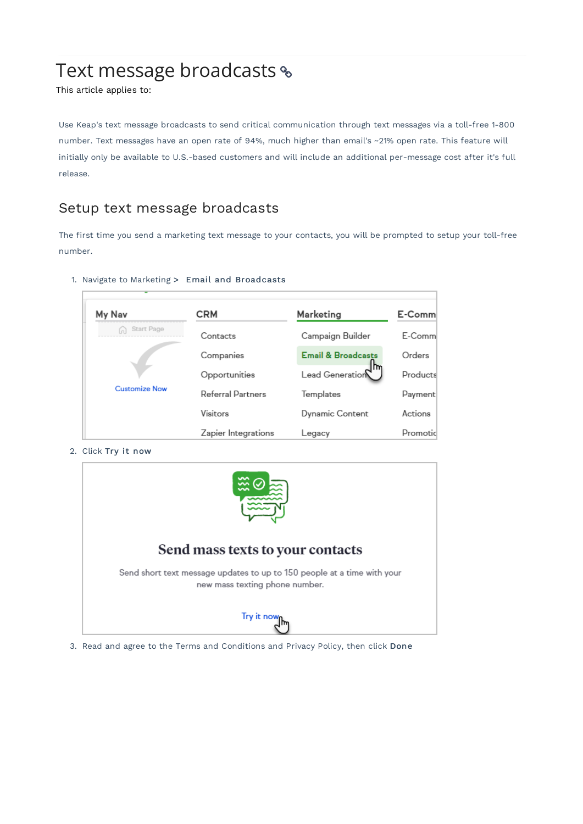# Text message broadcasts %

This article applies to:

Use Keap's text message broadcasts to send critical communication through text messages via a toll-free 1-800 number. Text messages have an open rate of 94%, much higher than email's ~21% open rate. This feature will initially only be available to U.S.-based customers and will include an additional per-message cost after it's full release.

### Setup text message broadcasts

The first time you send a marketing text message to your contacts, you will be prompted to setup your toll-free number.

1. Navigate to Marketing > Email and Broadcasts

| My Nav               | <b>CRM</b>          | Marketing                     | E-Comm   |
|----------------------|---------------------|-------------------------------|----------|
| Start Page           | Contacts            | Campaign Builder              | E-Comm   |
|                      | Companies           | <b>Email &amp; Broadcasts</b> | Orders   |
|                      | Opportunities       | m<br>Lead Generation          | Products |
| <b>Customize Now</b> | Referral Partners   | Templates                     | Payment  |
|                      | Visitors            | <b>Dynamic Content</b>        | Actions  |
|                      | Zapier Integrations | Legacy                        | Promotic |

2. Click Try it now



3. Read and agree to the Terms and Conditions and Privacy Policy, then click Done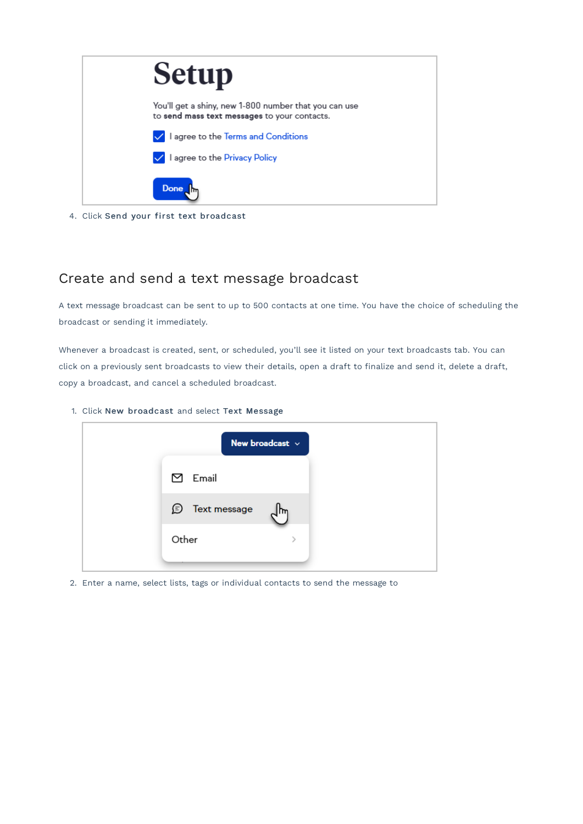

4. Click Send your first text broadcast

### Create and send a text message broadcast

A text message broadcast can be sent to up to 500 contacts at one time. You have the choice of scheduling the broadcast or sending it immediately.

Whenever a broadcast is created, sent, or scheduled, you'll see it listed on your text broadcasts tab. You can click on a previously sent broadcasts to view their details, open a draft to finalize and send it, delete a draft, copy a broadcast, and cancel a scheduled broadcast.

1. Click New broadcast and select Text Message



2. Enter a name, select lists, tags or individual contacts to send the message to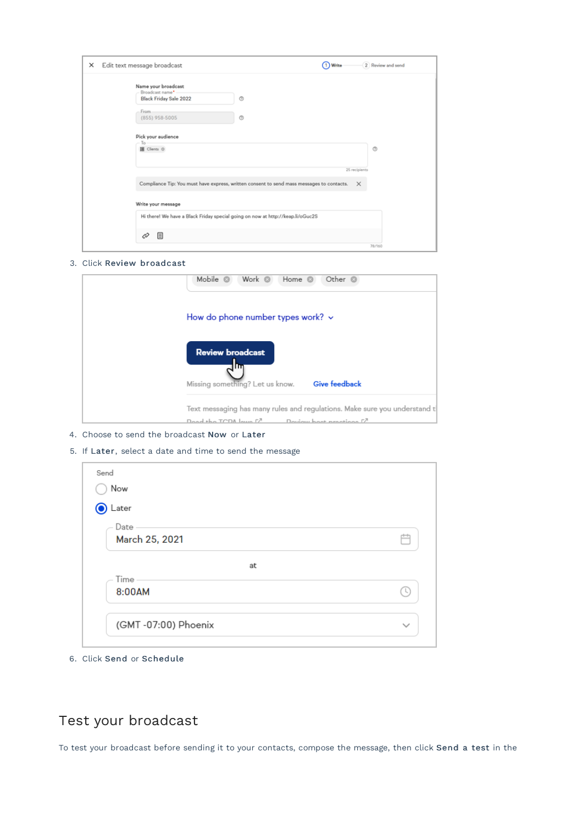| $\times$ | Edit text message broadcast                                                                                                                               | 2 Review and send<br>Write<br>1 |
|----------|-----------------------------------------------------------------------------------------------------------------------------------------------------------|---------------------------------|
|          | Name your broadcast<br>Broadcast name* -<br>O<br><b>Black Friday Sale 2022</b><br>From.<br>O<br>(855) 958-5005<br>Pick your audience<br>To<br>图 Clients O | O                               |
|          | Compliance Tip: You must have express, written consent to send mass messages to contacts.                                                                 | 25 recipients<br>$\times$       |
|          | Write your message                                                                                                                                        |                                 |
|          | Hi there! We have a Black Friday special going on now at http://keap.li/oGuc2S<br>▣<br>Ò                                                                  | 78/160                          |

#### 3. Click Review broadcast

| Mobile <sup>3</sup><br>Work @<br>Other <sup>@</sup><br>Home <sup>@</sup>                 |
|------------------------------------------------------------------------------------------|
| How do phone number types work? v                                                        |
| <b>Review broadcast</b><br>ſπ<br><b>Give feedback</b><br>Missing something? Let us know. |
| Text messaging has many rules and regulations. Make sure you understand t                |
| Dood the TCDA lowe L <sup>7</sup><br>Doviau hoot prostiggs [7]                           |

4. Choose to send the broadcast Now or Later

#### 5. If Later, select a date and time to send the message

| ◯ Now<br>● Later       |  |
|------------------------|--|
| Date<br>March 25, 2021 |  |
| at                     |  |
| Time -<br>8:00AM       |  |

6. Click Send or Schedule

# Test your broadcast

To test your broadcast before sending it to your contacts, compose the message, then click Send a test in the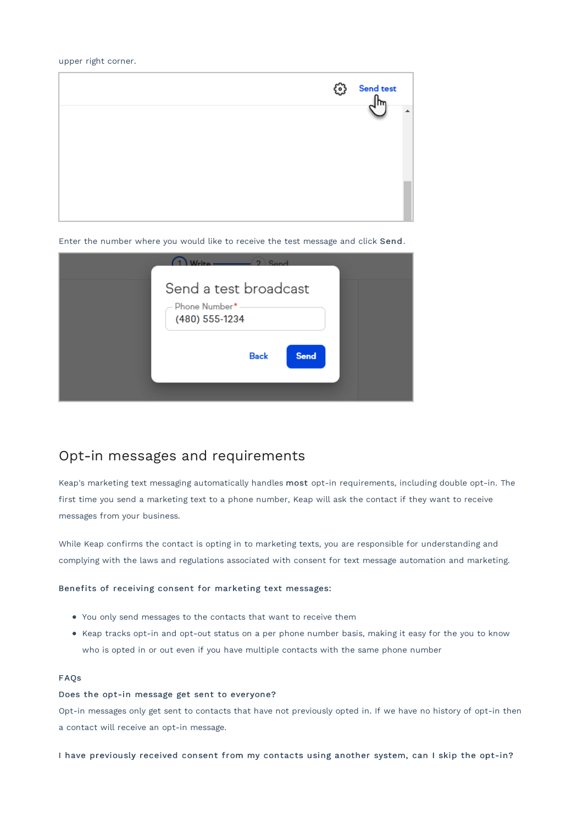#### upper right corner.



Enter the number where you would like to receive the test message and click Send.

| Sond                                                      |
|-----------------------------------------------------------|
| Send a test broadcast<br>Phone Number*-<br>(480) 555-1234 |
| <b>Send</b><br><b>Back</b>                                |

### Opt-in messages and requirements

Keap's marketing text messaging automatically handles most opt-in requirements, including double opt-in. The first time you send a marketing text to a phone number, Keap will ask the contact if they want to receive messages from your business.

While Keap confirms the contact is opting in to marketing texts, you are responsible for understanding and complying with the laws and regulations associated with consent for text message automation and marketing.

#### Benefits of receiving consent for marketing text messages:

- You only send messages to the contacts that want to receive them
- Keap tracks opt-in and opt-out status on a per phone number basis, making it easy for the you to know who is opted in or out even if you have multiple contacts with the same phone number

#### FAQs

#### Does the opt-in message get sent to everyone?

Opt-in messages only get sent to contacts that have not previously opted in. If we have no history of opt-in then a contact will receive an opt-in message.

I have previously received consent from my contacts using another system, can I skip the opt-in?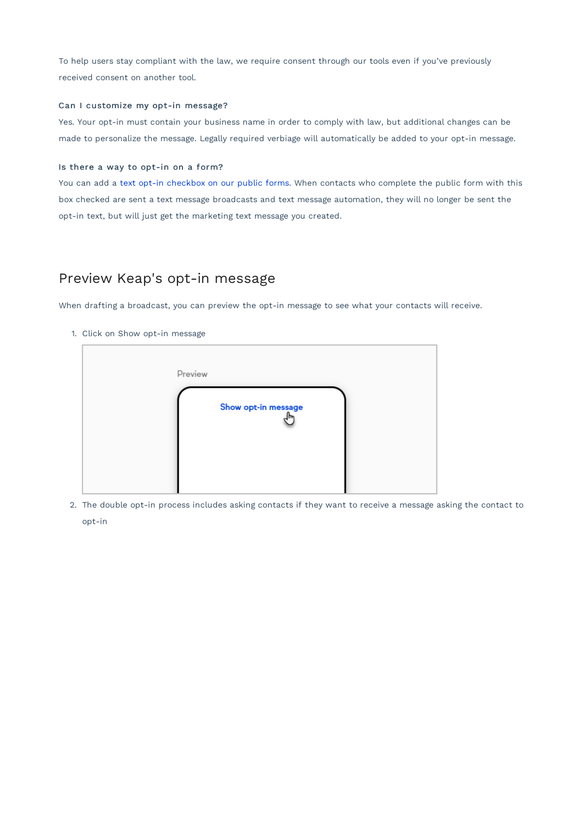To help users stay compliant with the law, we require consent through our tools even if you've previously received consent on another tool.

#### Can I customize my opt-in message?

Yes. Your opt-in must contain your business name in order to comply with law, but additional changes can be made to personalize the message. Legally required verbiage will automatically be added to your opt-in message.

#### Is there a way to opt-in on a form?

You can add a text opt-in checkbox on our public forms. When contacts who complete the public form with this box checked are sent a text message broadcasts and text message automation, they will no longer be sent the opt-in text, but will just get the marketing text message you created.

### Preview Keap's opt-in message

When drafting a broadcast, you can preview the opt-in message to see what your contacts will receive.

1. Click on Show opt-in message

| Preview             |  |
|---------------------|--|
| Show opt-in message |  |
|                     |  |

2. The double opt-in process includes asking contacts if they want to receive a message asking the contact to opt-in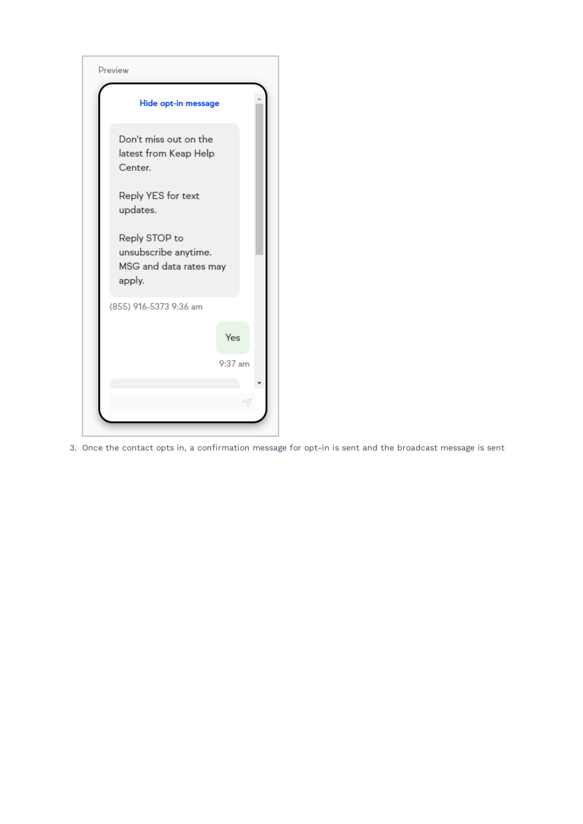

3. Once the contact opts in, a confirmation message for opt-in is sent and the broadcast message is sent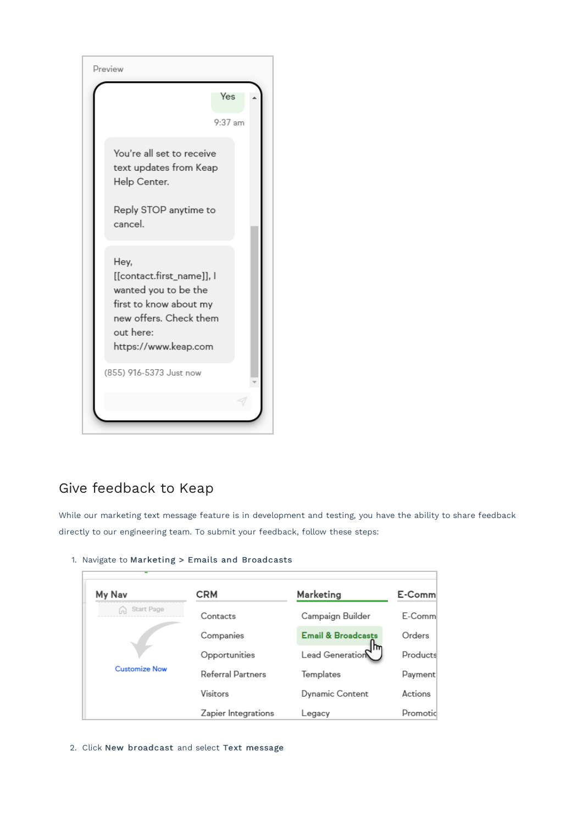

### Give feedback to Keap

While our marketing text message feature is in development and testing, you have the ability to share feedback directly to our engineering team. To submit your feedback, follow these steps:

#### 1. Navigate to Marketing > Emails and Broadcasts

| My Nav               | CRM                      | Marketing                     | E-Comm   |
|----------------------|--------------------------|-------------------------------|----------|
| Start Page           | Contacts                 | Campaign Builder              | E-Comm   |
|                      | Companies                | <b>Email &amp; Broadcasts</b> | Orders   |
|                      | Opportunities            | Lead Generation               | Products |
| <b>Customize Now</b> | <b>Referral Partners</b> | Templates                     | Payment  |
|                      | Visitors                 | <b>Dynamic Content</b>        | Actions  |
|                      | Zapier Integrations      | Legacy                        | Promotic |

2. Click New broadcast and select Text message